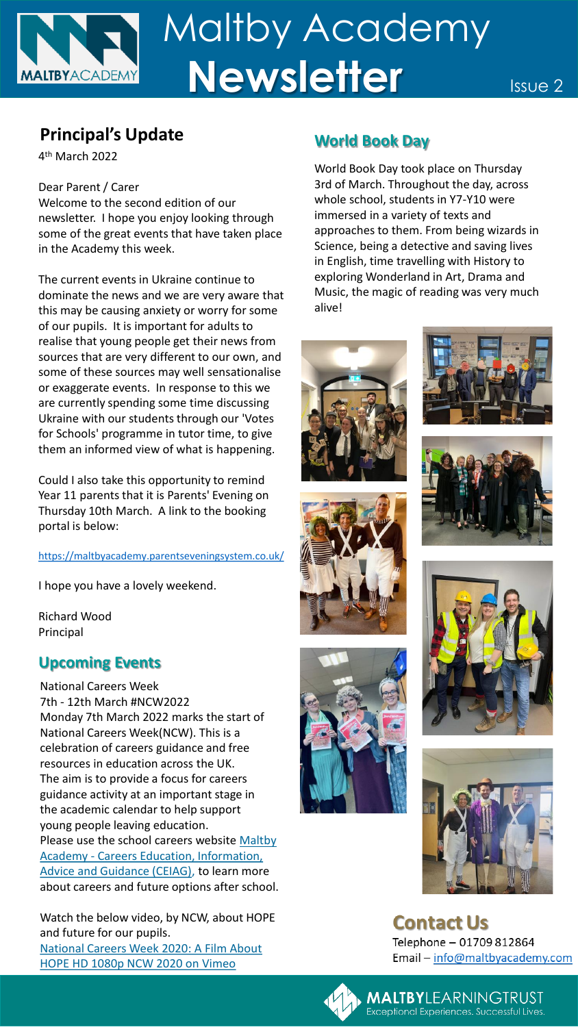# Maltby Academy **Newsletter** Issue 2 **MALTBYACADEMY**

# **Principal's Update World Book Day**

4 th March 2022

### Dear Parent / Carer

Welcome to the second edition of our newsletter. I hope you enjoy looking through some of the great events that have taken place in the Academy this week.

The current events in Ukraine continue to dominate the news and we are very aware that this may be causing anxiety or worry for some of our pupils. It is important for adults to realise that young people get their news from sources that are very different to our own, and some of these sources may well sensationalise or exaggerate events. In response to this we are currently spending some time discussing Ukraine with our students through our 'Votes for Schools' programme in tutor time, to give them an informed view of what is happening.

Could I also take this opportunity to remind Year 11 parents that it is Parents' Evening on Thursday 10th March. A link to the booking portal is below:

<https://maltbyacademy.parentseveningsystem.co.uk/>

I hope you have a lovely weekend.

Richard Wood Principal

### **Upcoming Events**

National Careers Week 7th - 12th March #NCW2022 Monday 7th March 2022 marks the start of National Careers Week(NCW). This is a celebration of careers guidance and free resources in education across the UK. The aim is to provide a focus for careers guidance activity at an important stage in the academic calendar to help support young people leaving education. Please use the school careers website Maltby Academy - Careers Education, Information, [Advice and Guidance \(CEIAG\), to learn more](https://www.maltbyacademy.com/learning/careers-education-information-advice-and-guidance)  about careers and future options after school.

Watch the below video, by NCW, about HOPE and future for our pupils. [National Careers Week 2020: A Film About](https://vimeo.com/393837020)  HOPE HD 1080p NCW 2020 on Vimeo

World Book Day took place on Thursday 3rd of March. Throughout the day, across whole school, students in Y7-Y10 were immersed in a variety of texts and approaches to them. From being wizards in Science, being a detective and saving lives in English, time travelling with History to exploring Wonderland in Art, Drama and Music, the magic of reading was very much alive!















**Contact Us** Telephone - 01709 812864 Email - info@maltbyacademy.com